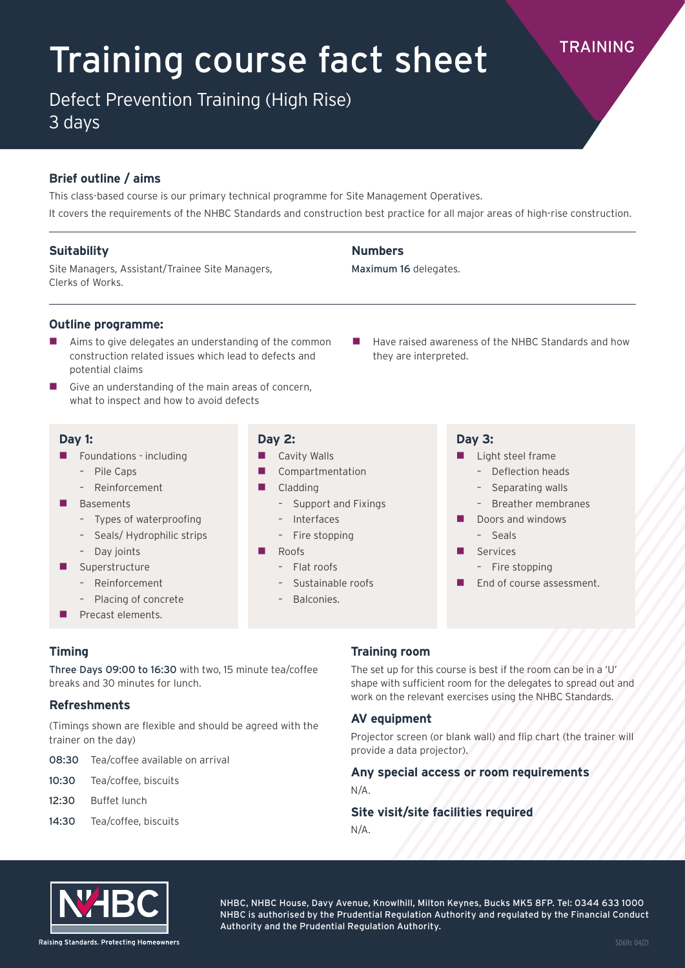# Training course fact sheet TRAINING

Defect Prevention Training (High Rise)

3 days

### **Brief outline / aims**

This class-based course is our primary technical programme for Site Management Operatives. It covers the requirements of the NHBC Standards and construction best practice for all major areas of high-rise construction.

**Numbers** 

Maximum 16 delegates.

### **Suitability**

Site Managers, Assistant/Trainee Site Managers, Clerks of Works.

### **Outline programme:**

- Aims to give delegates an understanding of the common construction related issues which lead to defects and potential claims
- Give an understanding of the main areas of concern, what to inspect and how to avoid defects

Three Days 09:00 to 16:30 with two, 15 minute tea/coffee

(Timings shown are flexible and should be agreed with the

### **Day 1:**

**Timing**

**Refreshments**

trainer on the day)

12:30 Buffet lunch

- $\blacksquare$  Foundations including
	- Pile Caps
	- Reinforcement
- **Basements** 
	- Types of waterproofing
	- Seals/ Hydrophilic strips
	- Day joints
- Superstructure
	- Reinforcement
	- Placing of concrete

breaks and 30 minutes for lunch.

08:30 Tea/coffee available on arrival

10:30 Tea/coffee, biscuits

14:30 Tea/coffee, biscuits

 $\blacksquare$  Precast elements.

### **Day 2:**

- **Cavity Walls**
- Compartmentation
- Cladding
	- Support and Fixings
	- Interfaces
	- Fire stopping
- Roofs
	- $-$  Flat roofs
	- Sustainable roofs
	- Balconies.

**Training room**

The set up for this course is best if the room can be in a 'U' shape with sufficient room for the delegates to spread out and work on the relevant exercises using the NHBC Standards.

### **AV equipment**

Projector screen (or blank wall) and flip chart (the trainer will provide a data projector).

## **Any special access or room requirements**

### N/A.

### **Site visit/site facilities required**

N/A.



NHBC, NHBC House, Davy Avenue, Knowlhill, Milton Keynes, Bucks MK5 8FP. Tel: 0344 633 1000 NHBC is authorised by the Prudential Regulation Authority and regulated by the Financial Conduct Authority and the Prudential Regulation Authority.

- $\blacksquare$  Have raised awareness of the NHBC Standards and how they are interpreted.
	- **Day 3:**
	- $\blacksquare$  Light steel frame
		- Deflection heads
		- Separating walls
		- Breather membranes
	- $\blacksquare$  Doors and windows
		- Seals
	- Services
		- Fire stopping
	- **E** End of course assessment.